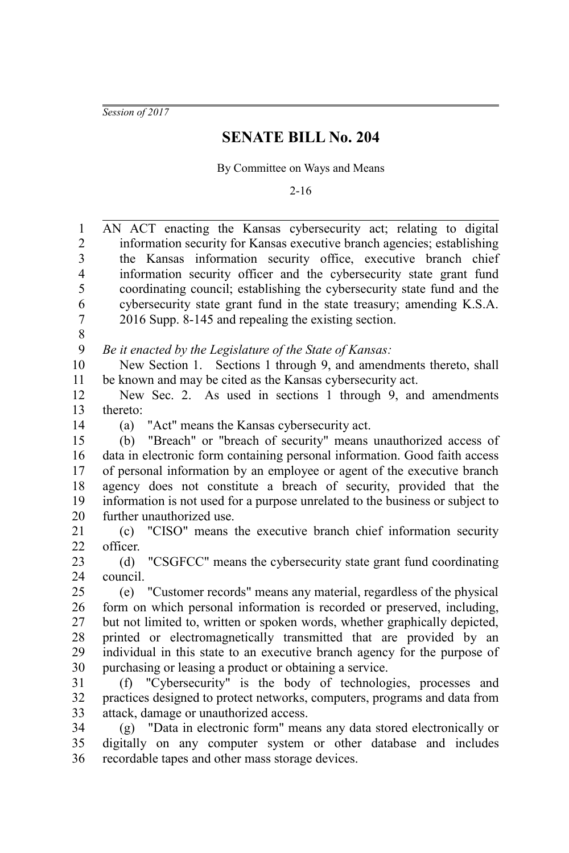*Session of 2017*

## **SENATE BILL No. 204**

By Committee on Ways and Means

2-16

| 1                        | AN ACT enacting the Kansas cybersecurity act; relating to digital             |
|--------------------------|-------------------------------------------------------------------------------|
| $\overline{c}$           | information security for Kansas executive branch agencies; establishing       |
| 3                        | the Kansas information security office, executive branch chief                |
| $\overline{\mathcal{A}}$ | information security officer and the cybersecurity state grant fund           |
| 5                        | coordinating council; establishing the cybersecurity state fund and the       |
| 6                        | cybersecurity state grant fund in the state treasury; amending K.S.A.         |
| $\overline{7}$           | 2016 Supp. 8-145 and repealing the existing section.                          |
| 8                        |                                                                               |
| 9                        | Be it enacted by the Legislature of the State of Kansas:                      |
| 10                       | New Section 1. Sections 1 through 9, and amendments thereto, shall            |
| 11                       | be known and may be cited as the Kansas cybersecurity act.                    |
| 12                       | New Sec. 2. As used in sections 1 through 9, and amendments                   |
| 13                       | thereto:                                                                      |
| 14                       | (a) "Act" means the Kansas cybersecurity act.                                 |
| 15                       | (b) "Breach" or "breach of security" means unauthorized access of             |
| 16                       | data in electronic form containing personal information. Good faith access    |
| 17                       | of personal information by an employee or agent of the executive branch       |
| 18                       | agency does not constitute a breach of security, provided that the            |
| 19                       | information is not used for a purpose unrelated to the business or subject to |
| 20                       | further unauthorized use.                                                     |
| 21                       | (c) "CISO" means the executive branch chief information security              |
| 22                       | officer.                                                                      |
| 23                       | "CSGFCC" means the cybersecurity state grant fund coordinating<br>(d)         |
| 24                       | council.                                                                      |
| 25                       | (e) "Customer records" means any material, regardless of the physical         |
| 26                       | form on which personal information is recorded or preserved, including,       |
| 27                       | but not limited to, written or spoken words, whether graphically depicted,    |
| 28                       | printed or electromagnetically transmitted that are provided by an            |
| 29                       | individual in this state to an executive branch agency for the purpose of     |
| 30                       | purchasing or leasing a product or obtaining a service.                       |
| 31                       | (f) "Cybersecurity" is the body of technologies, processes and                |
| 32                       | practices designed to protect networks, computers, programs and data from     |
| 33                       | attack, damage or unauthorized access.                                        |
| 34                       | (g) "Data in electronic form" means any data stored electronically or         |
| 35                       | digitally on any computer system or other database and includes               |
| 36                       | recordable tapes and other mass storage devices.                              |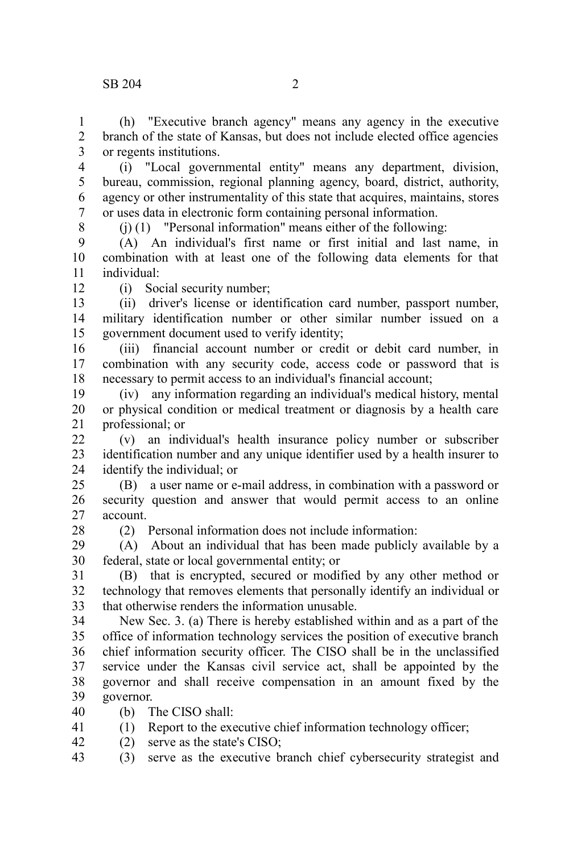(h) "Executive branch agency" means any agency in the executive branch of the state of Kansas, but does not include elected office agencies or regents institutions. 1  $\mathcal{D}$ 3

(i) "Local governmental entity" means any department, division, bureau, commission, regional planning agency, board, district, authority, agency or other instrumentality of this state that acquires, maintains, stores or uses data in electronic form containing personal information. 4 5 6 7

8

(j) (1) "Personal information" means either of the following:

(A) An individual's first name or first initial and last name, in combination with at least one of the following data elements for that individual: 9 10 11

12

(i) Social security number;

(ii) driver's license or identification card number, passport number, military identification number or other similar number issued on a government document used to verify identity; 13 14 15

(iii) financial account number or credit or debit card number, in combination with any security code, access code or password that is necessary to permit access to an individual's financial account; 16 17 18

(iv) any information regarding an individual's medical history, mental or physical condition or medical treatment or diagnosis by a health care professional; or 19 20 21

(v) an individual's health insurance policy number or subscriber identification number and any unique identifier used by a health insurer to identify the individual; or  $22$ 23 24

(B) a user name or e-mail address, in combination with a password or security question and answer that would permit access to an online account. 25 26 27

28

(2) Personal information does not include information:

(A) About an individual that has been made publicly available by a federal, state or local governmental entity; or 29 30

(B) that is encrypted, secured or modified by any other method or technology that removes elements that personally identify an individual or that otherwise renders the information unusable. 31 32 33

New Sec. 3. (a) There is hereby established within and as a part of the office of information technology services the position of executive branch chief information security officer. The CISO shall be in the unclassified service under the Kansas civil service act, shall be appointed by the governor and shall receive compensation in an amount fixed by the governor. 34 35 36 37 38 39

(b) The CISO shall: 40

(1) Report to the executive chief information technology officer; 41

(2) serve as the state's CISO; 42

(3) serve as the executive branch chief cybersecurity strategist and 43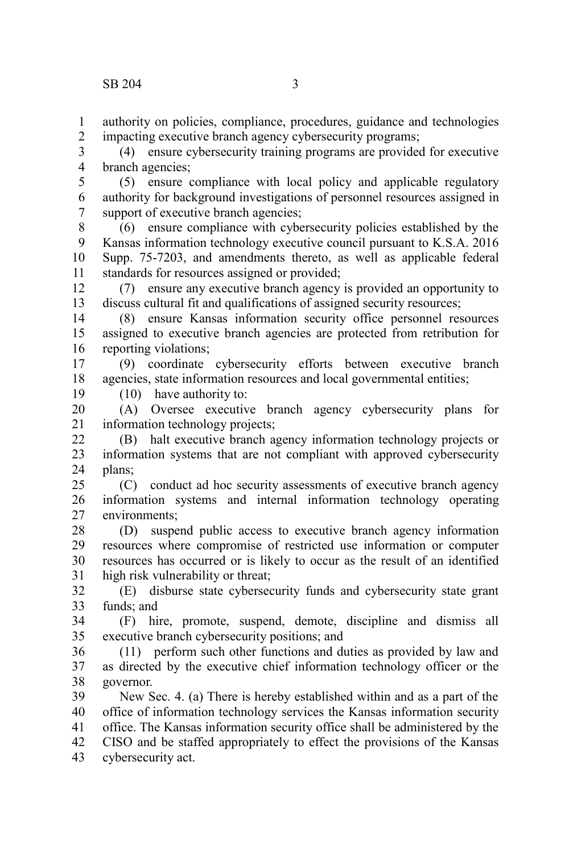authority on policies, compliance, procedures, guidance and technologies impacting executive branch agency cybersecurity programs; 1 2

(4) ensure cybersecurity training programs are provided for executive branch agencies; 3 4

(5) ensure compliance with local policy and applicable regulatory authority for background investigations of personnel resources assigned in support of executive branch agencies; 5 6 7

(6) ensure compliance with cybersecurity policies established by the Kansas information technology executive council pursuant to K.S.A. 2016 Supp. 75-7203, and amendments thereto, as well as applicable federal standards for resources assigned or provided; 8 9 10 11

(7) ensure any executive branch agency is provided an opportunity to discuss cultural fit and qualifications of assigned security resources; 12 13

(8) ensure Kansas information security office personnel resources assigned to executive branch agencies are protected from retribution for reporting violations; 14 15 16

(9) coordinate cybersecurity efforts between executive branch agencies, state information resources and local governmental entities; 17 18

(10) have authority to:

19

(A) Oversee executive branch agency cybersecurity plans for information technology projects; 20 21

(B) halt executive branch agency information technology projects or information systems that are not compliant with approved cybersecurity plans; 22 23 24

(C) conduct ad hoc security assessments of executive branch agency information systems and internal information technology operating environments; 25 26 27

(D) suspend public access to executive branch agency information resources where compromise of restricted use information or computer resources has occurred or is likely to occur as the result of an identified high risk vulnerability or threat; 28 29 30 31

(E) disburse state cybersecurity funds and cybersecurity state grant funds; and 32 33

(F) hire, promote, suspend, demote, discipline and dismiss all executive branch cybersecurity positions; and 34 35

(11) perform such other functions and duties as provided by law and as directed by the executive chief information technology officer or the governor. 36 37 38

New Sec. 4. (a) There is hereby established within and as a part of the office of information technology services the Kansas information security office. The Kansas information security office shall be administered by the CISO and be staffed appropriately to effect the provisions of the Kansas cybersecurity act. 39 40 41 42 43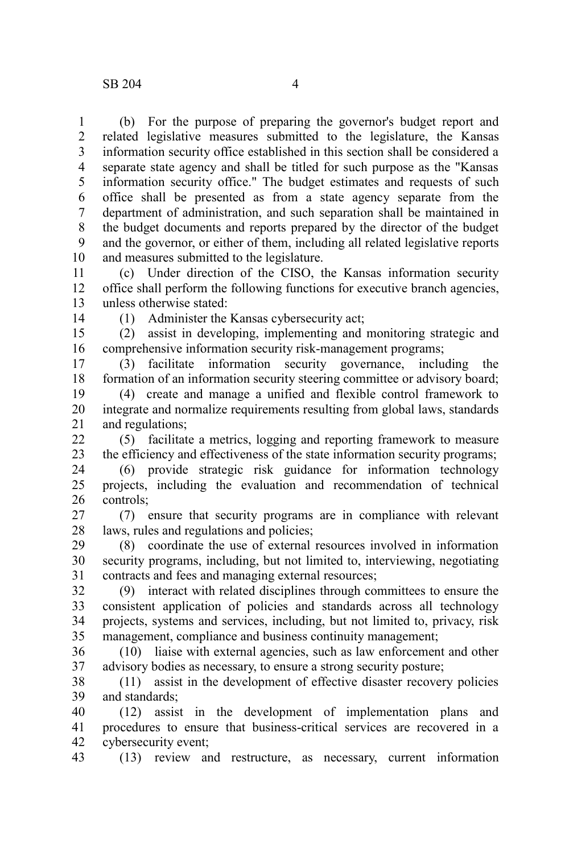(b) For the purpose of preparing the governor's budget report and related legislative measures submitted to the legislature, the Kansas information security office established in this section shall be considered a separate state agency and shall be titled for such purpose as the "Kansas information security office." The budget estimates and requests of such office shall be presented as from a state agency separate from the department of administration, and such separation shall be maintained in the budget documents and reports prepared by the director of the budget and the governor, or either of them, including all related legislative reports and measures submitted to the legislature. 1 2 3 4 5 6 7 8 9 10

(c) Under direction of the CISO, the Kansas information security office shall perform the following functions for executive branch agencies, unless otherwise stated: 11 12 13

14

(1) Administer the Kansas cybersecurity act;

(2) assist in developing, implementing and monitoring strategic and comprehensive information security risk-management programs; 15 16

(3) facilitate information security governance, including the formation of an information security steering committee or advisory board; 17 18

(4) create and manage a unified and flexible control framework to integrate and normalize requirements resulting from global laws, standards and regulations; 19 20 21

(5) facilitate a metrics, logging and reporting framework to measure the efficiency and effectiveness of the state information security programs; 22 23

(6) provide strategic risk guidance for information technology projects, including the evaluation and recommendation of technical controls; 24 25 26

(7) ensure that security programs are in compliance with relevant laws, rules and regulations and policies; 27 28

(8) coordinate the use of external resources involved in information security programs, including, but not limited to, interviewing, negotiating contracts and fees and managing external resources; 29 30 31

(9) interact with related disciplines through committees to ensure the consistent application of policies and standards across all technology projects, systems and services, including, but not limited to, privacy, risk management, compliance and business continuity management; 32 33 34 35

(10) liaise with external agencies, such as law enforcement and other advisory bodies as necessary, to ensure a strong security posture; 36 37

(11) assist in the development of effective disaster recovery policies and standards; 38 39

(12) assist in the development of implementation plans and procedures to ensure that business-critical services are recovered in a cybersecurity event; 40 41 42

(13) review and restructure, as necessary, current information 43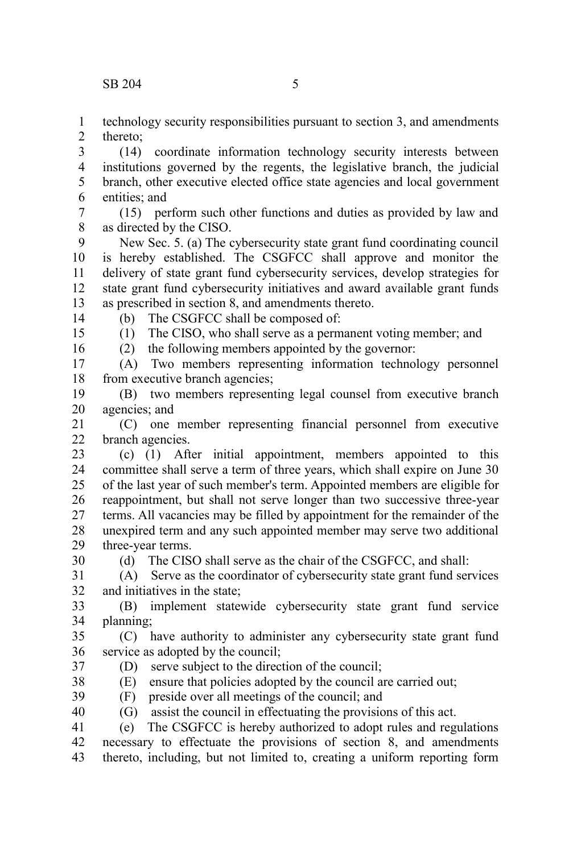technology security responsibilities pursuant to section 3, and amendments thereto; 1 2

(14) coordinate information technology security interests between institutions governed by the regents, the legislative branch, the judicial branch, other executive elected office state agencies and local government entities; and 3 4 5 6

(15) perform such other functions and duties as provided by law and as directed by the CISO. 7 8

New Sec. 5. (a) The cybersecurity state grant fund coordinating council is hereby established. The CSGFCC shall approve and monitor the delivery of state grant fund cybersecurity services, develop strategies for state grant fund cybersecurity initiatives and award available grant funds as prescribed in section 8, and amendments thereto. 9 10 11 12 13

14

(b) The CSGFCC shall be composed of: (1) The CISO, who shall serve as a permanent voting member; and

15 16

(2) the following members appointed by the governor:

(A) Two members representing information technology personnel from executive branch agencies; 17 18

(B) two members representing legal counsel from executive branch agencies; and 19 20

(C) one member representing financial personnel from executive branch agencies. 21  $22$ 

(c) (1) After initial appointment, members appointed to this committee shall serve a term of three years, which shall expire on June 30 of the last year of such member's term. Appointed members are eligible for reappointment, but shall not serve longer than two successive three-year terms. All vacancies may be filled by appointment for the remainder of the unexpired term and any such appointed member may serve two additional three-year terms. 23 24 25 26 27 28 29

30

(d) The CISO shall serve as the chair of the CSGFCC, and shall:

(A) Serve as the coordinator of cybersecurity state grant fund services and initiatives in the state; 31 32

(B) implement statewide cybersecurity state grant fund service planning; 33 34

(C) have authority to administer any cybersecurity state grant fund service as adopted by the council; 35 36

- (D) serve subject to the direction of the council; 37
- (E) ensure that policies adopted by the council are carried out; 38
- (F) preside over all meetings of the council; and 39
- (G) assist the council in effectuating the provisions of this act. 40

(e) The CSGFCC is hereby authorized to adopt rules and regulations necessary to effectuate the provisions of section 8, and amendments thereto, including, but not limited to, creating a uniform reporting form 41 42 43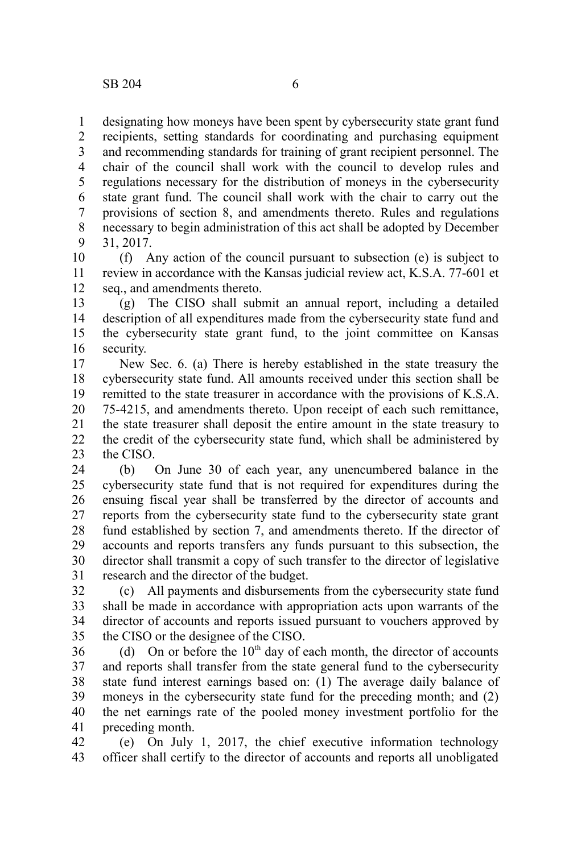designating how moneys have been spent by cybersecurity state grant fund recipients, setting standards for coordinating and purchasing equipment and recommending standards for training of grant recipient personnel. The chair of the council shall work with the council to develop rules and regulations necessary for the distribution of moneys in the cybersecurity state grant fund. The council shall work with the chair to carry out the provisions of section 8, and amendments thereto. Rules and regulations necessary to begin administration of this act shall be adopted by December 31, 2017. 1 2 3 4 5 6 7 8 9

(f) Any action of the council pursuant to subsection (e) is subject to review in accordance with the Kansas judicial review act, K.S.A. 77-601 et seq., and amendments thereto. 10 11 12

(g) The CISO shall submit an annual report, including a detailed description of all expenditures made from the cybersecurity state fund and the cybersecurity state grant fund, to the joint committee on Kansas security. 13 14 15 16

New Sec. 6. (a) There is hereby established in the state treasury the cybersecurity state fund. All amounts received under this section shall be remitted to the state treasurer in accordance with the provisions of K.S.A. 75-4215, and amendments thereto. Upon receipt of each such remittance, the state treasurer shall deposit the entire amount in the state treasury to the credit of the cybersecurity state fund, which shall be administered by the CISO. 17 18 19 20 21 22 23

(b) On June 30 of each year, any unencumbered balance in the cybersecurity state fund that is not required for expenditures during the ensuing fiscal year shall be transferred by the director of accounts and reports from the cybersecurity state fund to the cybersecurity state grant fund established by section 7, and amendments thereto. If the director of accounts and reports transfers any funds pursuant to this subsection, the director shall transmit a copy of such transfer to the director of legislative research and the director of the budget. 24 25 26 27 28 29 30 31

(c) All payments and disbursements from the cybersecurity state fund shall be made in accordance with appropriation acts upon warrants of the director of accounts and reports issued pursuant to vouchers approved by the CISO or the designee of the CISO. 32 33 34 35

(d) On or before the  $10<sup>th</sup>$  day of each month, the director of accounts and reports shall transfer from the state general fund to the cybersecurity state fund interest earnings based on:  $(1)$  The average daily balance of moneys in the cybersecurity state fund for the preceding month; and (2) the net earnings rate of the pooled money investment portfolio for the preceding month. 36 37 38 39 40 41

(e) On July 1, 2017, the chief executive information technology officer shall certify to the director of accounts and reports all unobligated 42 43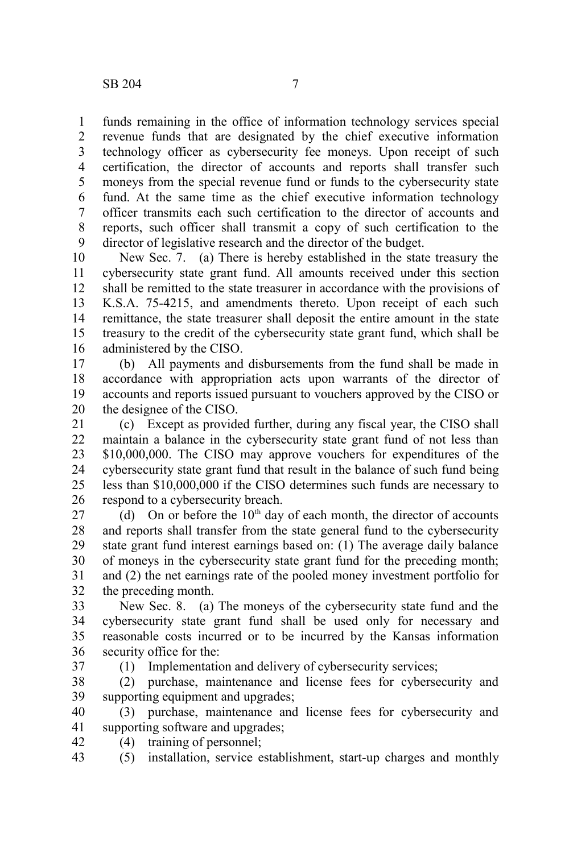funds remaining in the office of information technology services special revenue funds that are designated by the chief executive information technology officer as cybersecurity fee moneys. Upon receipt of such certification, the director of accounts and reports shall transfer such moneys from the special revenue fund or funds to the cybersecurity state fund. At the same time as the chief executive information technology officer transmits each such certification to the director of accounts and reports, such officer shall transmit a copy of such certification to the director of legislative research and the director of the budget. 1 2 3 4 5 6 7 8 9

New Sec. 7. (a) There is hereby established in the state treasury the cybersecurity state grant fund. All amounts received under this section shall be remitted to the state treasurer in accordance with the provisions of K.S.A. 75-4215, and amendments thereto. Upon receipt of each such remittance, the state treasurer shall deposit the entire amount in the state treasury to the credit of the cybersecurity state grant fund, which shall be administered by the CISO. 10 11 12 13 14 15 16

(b) All payments and disbursements from the fund shall be made in accordance with appropriation acts upon warrants of the director of accounts and reports issued pursuant to vouchers approved by the CISO or the designee of the CISO. 17 18 19 20

(c) Except as provided further, during any fiscal year, the CISO shall maintain a balance in the cybersecurity state grant fund of not less than \$10,000,000. The CISO may approve vouchers for expenditures of the cybersecurity state grant fund that result in the balance of such fund being less than \$10,000,000 if the CISO determines such funds are necessary to respond to a cybersecurity breach. 21 22 23 24 25 26

(d) On or before the  $10<sup>th</sup>$  day of each month, the director of accounts and reports shall transfer from the state general fund to the cybersecurity state grant fund interest earnings based on: (1) The average daily balance of moneys in the cybersecurity state grant fund for the preceding month; and (2) the net earnings rate of the pooled money investment portfolio for the preceding month. 27 28 29 30 31 32

New Sec. 8. (a) The moneys of the cybersecurity state fund and the cybersecurity state grant fund shall be used only for necessary and reasonable costs incurred or to be incurred by the Kansas information security office for the: 33 34 35 36

37

(1) Implementation and delivery of cybersecurity services;

(2) purchase, maintenance and license fees for cybersecurity and supporting equipment and upgrades; 38 39

(3) purchase, maintenance and license fees for cybersecurity and supporting software and upgrades; 40 41

(4) training of personnel; 42

(5) installation, service establishment, start-up charges and monthly 43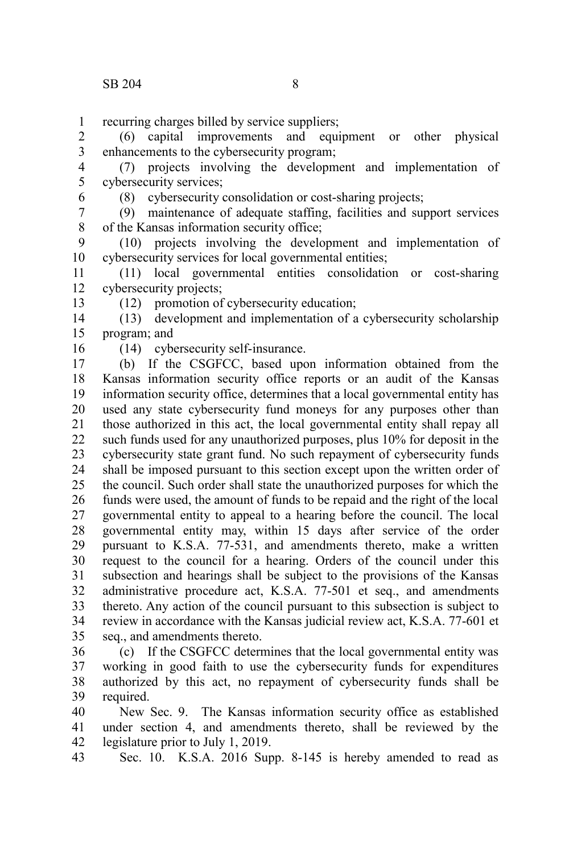recurring charges billed by service suppliers; 1

(6) capital improvements and equipment or other physical enhancements to the cybersecurity program; 2 3

(7) projects involving the development and implementation of cybersecurity services; 4 5

6

(8) cybersecurity consolidation or cost-sharing projects;

(9) maintenance of adequate staffing, facilities and support services of the Kansas information security office; 7 8

(10) projects involving the development and implementation of cybersecurity services for local governmental entities; 9 10

(11) local governmental entities consolidation or cost-sharing cybersecurity projects; 11 12

13

(12) promotion of cybersecurity education;

(13) development and implementation of a cybersecurity scholarship program; and 14 15

16

(14) cybersecurity self-insurance.

(b) If the CSGFCC, based upon information obtained from the Kansas information security office reports or an audit of the Kansas information security office, determines that a local governmental entity has used any state cybersecurity fund moneys for any purposes other than those authorized in this act, the local governmental entity shall repay all such funds used for any unauthorized purposes, plus 10% for deposit in the cybersecurity state grant fund. No such repayment of cybersecurity funds shall be imposed pursuant to this section except upon the written order of the council. Such order shall state the unauthorized purposes for which the funds were used, the amount of funds to be repaid and the right of the local governmental entity to appeal to a hearing before the council. The local governmental entity may, within 15 days after service of the order pursuant to K.S.A. 77-531, and amendments thereto, make a written request to the council for a hearing. Orders of the council under this subsection and hearings shall be subject to the provisions of the Kansas administrative procedure act, K.S.A. 77-501 et seq., and amendments thereto. Any action of the council pursuant to this subsection is subject to review in accordance with the Kansas judicial review act, K.S.A. 77-601 et seq., and amendments thereto. 17 18 19 20 21 22 23 24 25 26 27 28 29 30 31 32 33 34 35

(c) If the CSGFCC determines that the local governmental entity was working in good faith to use the cybersecurity funds for expenditures authorized by this act, no repayment of cybersecurity funds shall be required. 36 37 38 39

New Sec. 9. The Kansas information security office as established under section 4, and amendments thereto, shall be reviewed by the legislature prior to July 1, 2019. 40 41 42

Sec. 10. K.S.A. 2016 Supp. 8-145 is hereby amended to read as 43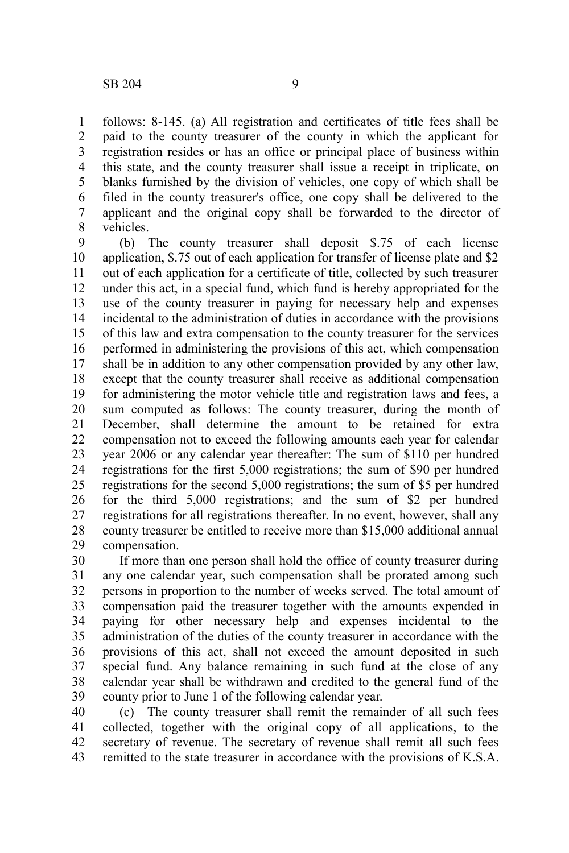follows: 8-145. (a) All registration and certificates of title fees shall be paid to the county treasurer of the county in which the applicant for registration resides or has an office or principal place of business within this state, and the county treasurer shall issue a receipt in triplicate, on blanks furnished by the division of vehicles, one copy of which shall be filed in the county treasurer's office, one copy shall be delivered to the applicant and the original copy shall be forwarded to the director of vehicles. 1 2 3 4 5 6 7 8

(b) The county treasurer shall deposit \$.75 of each license application, \$.75 out of each application for transfer of license plate and \$2 out of each application for a certificate of title, collected by such treasurer under this act, in a special fund, which fund is hereby appropriated for the use of the county treasurer in paying for necessary help and expenses incidental to the administration of duties in accordance with the provisions of this law and extra compensation to the county treasurer for the services performed in administering the provisions of this act, which compensation shall be in addition to any other compensation provided by any other law, except that the county treasurer shall receive as additional compensation for administering the motor vehicle title and registration laws and fees, a sum computed as follows: The county treasurer, during the month of December, shall determine the amount to be retained for extra compensation not to exceed the following amounts each year for calendar year 2006 or any calendar year thereafter: The sum of \$110 per hundred registrations for the first 5,000 registrations; the sum of \$90 per hundred registrations for the second 5,000 registrations; the sum of \$5 per hundred for the third 5,000 registrations; and the sum of \$2 per hundred registrations for all registrations thereafter. In no event, however, shall any county treasurer be entitled to receive more than \$15,000 additional annual compensation. 9 10 11 12 13 14 15 16 17 18 19 20 21 22 23 24 25 26 27 28 29

If more than one person shall hold the office of county treasurer during any one calendar year, such compensation shall be prorated among such persons in proportion to the number of weeks served. The total amount of compensation paid the treasurer together with the amounts expended in paying for other necessary help and expenses incidental to the administration of the duties of the county treasurer in accordance with the provisions of this act, shall not exceed the amount deposited in such special fund. Any balance remaining in such fund at the close of any calendar year shall be withdrawn and credited to the general fund of the county prior to June 1 of the following calendar year. 30 31 32 33 34 35 36 37 38 39

(c) The county treasurer shall remit the remainder of all such fees collected, together with the original copy of all applications, to the secretary of revenue. The secretary of revenue shall remit all such fees remitted to the state treasurer in accordance with the provisions of K.S.A. 40 41 42 43